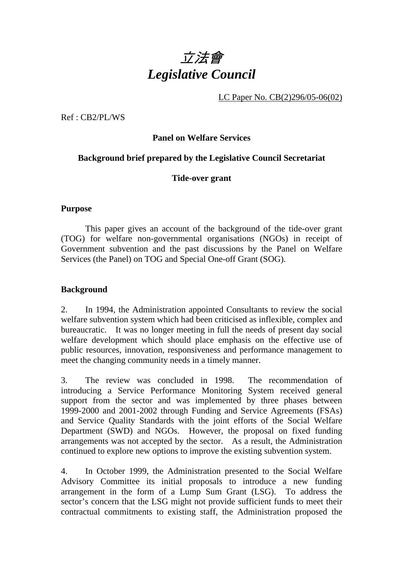

LC Paper No. CB(2)296/05-06(02)

Ref : CB2/PL/WS

## **Panel on Welfare Services**

### **Background brief prepared by the Legislative Council Secretariat**

#### **Tide-over grant**

#### **Purpose**

This paper gives an account of the background of the tide-over grant (TOG) for welfare non-governmental organisations (NGOs) in receipt of Government subvention and the past discussions by the Panel on Welfare Services (the Panel) on TOG and Special One-off Grant (SOG).

#### **Background**

2. In 1994, the Administration appointed Consultants to review the social welfare subvention system which had been criticised as inflexible, complex and bureaucratic. It was no longer meeting in full the needs of present day social welfare development which should place emphasis on the effective use of public resources, innovation, responsiveness and performance management to meet the changing community needs in a timely manner.

3. The review was concluded in 1998. The recommendation of introducing a Service Performance Monitoring System received general support from the sector and was implemented by three phases between 1999-2000 and 2001-2002 through Funding and Service Agreements (FSAs) and Service Quality Standards with the joint efforts of the Social Welfare Department (SWD) and NGOs. However, the proposal on fixed funding arrangements was not accepted by the sector. As a result, the Administration continued to explore new options to improve the existing subvention system.

4. In October 1999, the Administration presented to the Social Welfare Advisory Committee its initial proposals to introduce a new funding arrangement in the form of a Lump Sum Grant (LSG). To address the sector's concern that the LSG might not provide sufficient funds to meet their contractual commitments to existing staff, the Administration proposed the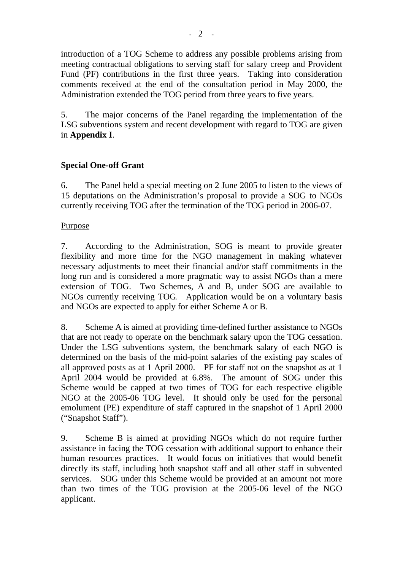introduction of a TOG Scheme to address any possible problems arising from meeting contractual obligations to serving staff for salary creep and Provident Fund (PF) contributions in the first three years. Taking into consideration comments received at the end of the consultation period in May 2000, the Administration extended the TOG period from three years to five years.

5. The major concerns of the Panel regarding the implementation of the LSG subventions system and recent development with regard to TOG are given in **Appendix I**.

# **Special One-off Grant**

6. The Panel held a special meeting on 2 June 2005 to listen to the views of 15 deputations on the Administration's proposal to provide a SOG to NGOs currently receiving TOG after the termination of the TOG period in 2006-07.

## Purpose

7. According to the Administration, SOG is meant to provide greater flexibility and more time for the NGO management in making whatever necessary adjustments to meet their financial and/or staff commitments in the long run and is considered a more pragmatic way to assist NGOs than a mere extension of TOG. Two Schemes, A and B, under SOG are available to NGOs currently receiving TOG. Application would be on a voluntary basis and NGOs are expected to apply for either Scheme A or B.

8. Scheme A is aimed at providing time-defined further assistance to NGOs that are not ready to operate on the benchmark salary upon the TOG cessation. Under the LSG subventions system, the benchmark salary of each NGO is determined on the basis of the mid-point salaries of the existing pay scales of all approved posts as at 1 April 2000. PF for staff not on the snapshot as at 1 April 2004 would be provided at 6.8%. The amount of SOG under this Scheme would be capped at two times of TOG for each respective eligible NGO at the 2005-06 TOG level. It should only be used for the personal emolument (PE) expenditure of staff captured in the snapshot of 1 April 2000 ("Snapshot Staff").

9. Scheme B is aimed at providing NGOs which do not require further assistance in facing the TOG cessation with additional support to enhance their human resources practices. It would focus on initiatives that would benefit directly its staff, including both snapshot staff and all other staff in subvented services. SOG under this Scheme would be provided at an amount not more than two times of the TOG provision at the 2005-06 level of the NGO applicant.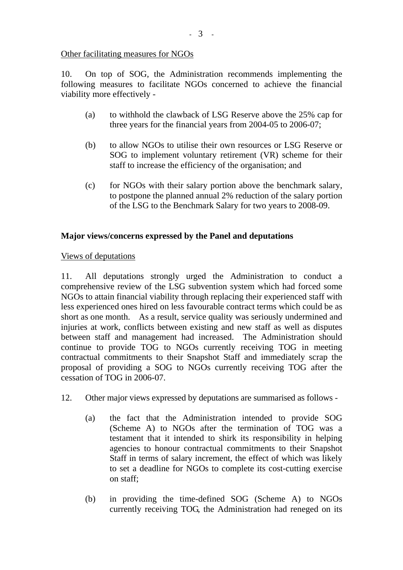Other facilitating measures for NGOs

10. On top of SOG, the Administration recommends implementing the following measures to facilitate NGOs concerned to achieve the financial viability more effectively -

- (a) to withhold the clawback of LSG Reserve above the 25% cap for three years for the financial years from 2004-05 to 2006-07;
- (b) to allow NGOs to utilise their own resources or LSG Reserve or SOG to implement voluntary retirement (VR) scheme for their staff to increase the efficiency of the organisation; and
- (c) for NGOs with their salary portion above the benchmark salary, to postpone the planned annual 2% reduction of the salary portion of the LSG to the Benchmark Salary for two years to 2008-09.

# **Major views/concerns expressed by the Panel and deputations**

### Views of deputations

11. All deputations strongly urged the Administration to conduct a comprehensive review of the LSG subvention system which had forced some NGOs to attain financial viability through replacing their experienced staff with less experienced ones hired on less favourable contract terms which could be as short as one month. As a result, service quality was seriously undermined and injuries at work, conflicts between existing and new staff as well as disputes between staff and management had increased. The Administration should continue to provide TOG to NGOs currently receiving TOG in meeting contractual commitments to their Snapshot Staff and immediately scrap the proposal of providing a SOG to NGOs currently receiving TOG after the cessation of TOG in 2006-07.

- 12. Other major views expressed by deputations are summarised as follows
	- (a) the fact that the Administration intended to provide SOG (Scheme A) to NGOs after the termination of TOG was a testament that it intended to shirk its responsibility in helping agencies to honour contractual commitments to their Snapshot Staff in terms of salary increment, the effect of which was likely to set a deadline for NGOs to complete its cost-cutting exercise on staff;
	- (b) in providing the time-defined SOG (Scheme A) to NGOs currently receiving TOG, the Administration had reneged on its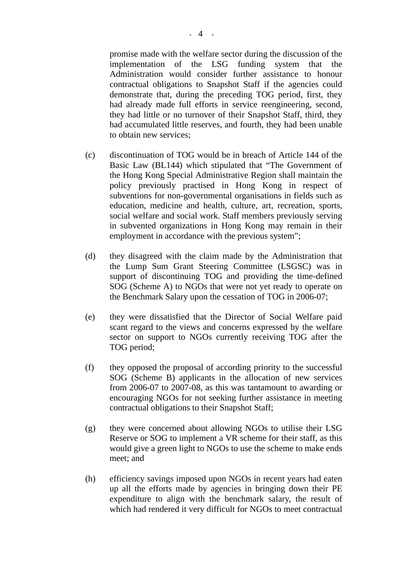promise made with the welfare sector during the discussion of the implementation of the LSG funding system that the Administration would consider further assistance to honour contractual obligations to Snapshot Staff if the agencies could demonstrate that, during the preceding TOG period, first, they had already made full efforts in service reengineering, second, they had little or no turnover of their Snapshot Staff, third, they had accumulated little reserves, and fourth, they had been unable to obtain new services;

- (c) discontinuation of TOG would be in breach of Article 144 of the Basic Law (BL144) which stipulated that "The Government of the Hong Kong Special Administrative Region shall maintain the policy previously practised in Hong Kong in respect of subventions for non-governmental organisations in fields such as education, medicine and health, culture, art, recreation, sports, social welfare and social work. Staff members previously serving in subvented organizations in Hong Kong may remain in their employment in accordance with the previous system";
- (d) they disagreed with the claim made by the Administration that the Lump Sum Grant Steering Committee (LSGSC) was in support of discontinuing TOG and providing the time-defined SOG (Scheme A) to NGOs that were not yet ready to operate on the Benchmark Salary upon the cessation of TOG in 2006-07;
- (e) they were dissatisfied that the Director of Social Welfare paid scant regard to the views and concerns expressed by the welfare sector on support to NGOs currently receiving TOG after the TOG period;
- (f) they opposed the proposal of according priority to the successful SOG (Scheme B) applicants in the allocation of new services from 2006-07 to 2007-08, as this was tantamount to awarding or encouraging NGOs for not seeking further assistance in meeting contractual obligations to their Snapshot Staff;
- (g) they were concerned about allowing NGOs to utilise their LSG Reserve or SOG to implement a VR scheme for their staff, as this would give a green light to NGOs to use the scheme to make ends meet; and
- (h) efficiency savings imposed upon NGOs in recent years had eaten up all the efforts made by agencies in bringing down their PE expenditure to align with the benchmark salary, the result of which had rendered it very difficult for NGOs to meet contractual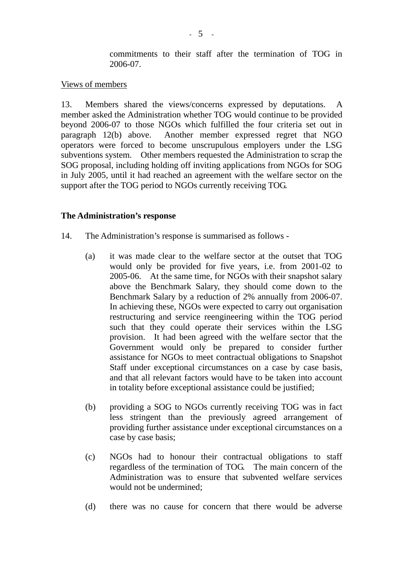commitments to their staff after the termination of TOG in 2006-07.

#### Views of members

13. Members shared the views/concerns expressed by deputations. A member asked the Administration whether TOG would continue to be provided beyond 2006-07 to those NGOs which fulfilled the four criteria set out in paragraph 12(b) above. Another member expressed regret that NGO operators were forced to become unscrupulous employers under the LSG subventions system. Other members requested the Administration to scrap the SOG proposal, including holding off inviting applications from NGOs for SOG in July 2005, until it had reached an agreement with the welfare sector on the support after the TOG period to NGOs currently receiving TOG.

#### **The Administration's response**

- 14. The Administration's response is summarised as follows
	- (a) it was made clear to the welfare sector at the outset that TOG would only be provided for five years, i.e. from 2001-02 to 2005-06. At the same time, for NGOs with their snapshot salary above the Benchmark Salary, they should come down to the Benchmark Salary by a reduction of 2% annually from 2006-07. In achieving these, NGOs were expected to carry out organisation restructuring and service reengineering within the TOG period such that they could operate their services within the LSG provision. It had been agreed with the welfare sector that the Government would only be prepared to consider further assistance for NGOs to meet contractual obligations to Snapshot Staff under exceptional circumstances on a case by case basis, and that all relevant factors would have to be taken into account in totality before exceptional assistance could be justified;
	- (b) providing a SOG to NGOs currently receiving TOG was in fact less stringent than the previously agreed arrangement of providing further assistance under exceptional circumstances on a case by case basis;
	- (c) NGOs had to honour their contractual obligations to staff regardless of the termination of TOG. The main concern of the Administration was to ensure that subvented welfare services would not be undermined;
	- (d) there was no cause for concern that there would be adverse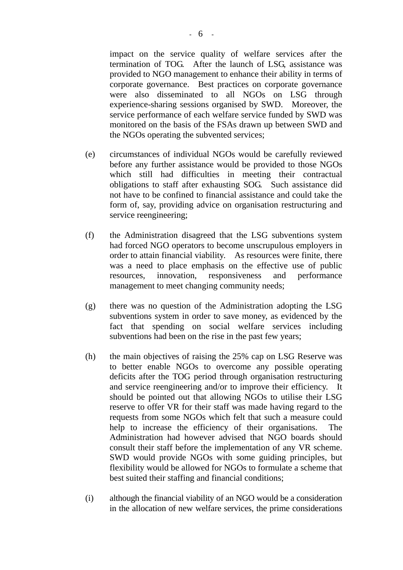impact on the service quality of welfare services after the termination of TOG. After the launch of LSG, assistance was provided to NGO management to enhance their ability in terms of corporate governance. Best practices on corporate governance were also disseminated to all NGOs on LSG through experience-sharing sessions organised by SWD. Moreover, the service performance of each welfare service funded by SWD was monitored on the basis of the FSAs drawn up between SWD and the NGOs operating the subvented services;

- (e) circumstances of individual NGOs would be carefully reviewed before any further assistance would be provided to those NGOs which still had difficulties in meeting their contractual obligations to staff after exhausting SOG. Such assistance did not have to be confined to financial assistance and could take the form of, say, providing advice on organisation restructuring and service reengineering;
- (f) the Administration disagreed that the LSG subventions system had forced NGO operators to become unscrupulous employers in order to attain financial viability. As resources were finite, there was a need to place emphasis on the effective use of public resources, innovation, responsiveness and performance management to meet changing community needs;
- (g) there was no question of the Administration adopting the LSG subventions system in order to save money, as evidenced by the fact that spending on social welfare services including subventions had been on the rise in the past few years;
- (h) the main objectives of raising the 25% cap on LSG Reserve was to better enable NGOs to overcome any possible operating deficits after the TOG period through organisation restructuring and service reengineering and/or to improve their efficiency. It should be pointed out that allowing NGOs to utilise their LSG reserve to offer VR for their staff was made having regard to the requests from some NGOs which felt that such a measure could help to increase the efficiency of their organisations. The Administration had however advised that NGO boards should consult their staff before the implementation of any VR scheme. SWD would provide NGOs with some guiding principles, but flexibility would be allowed for NGOs to formulate a scheme that best suited their staffing and financial conditions;
- (i) although the financial viability of an NGO would be a consideration in the allocation of new welfare services, the prime considerations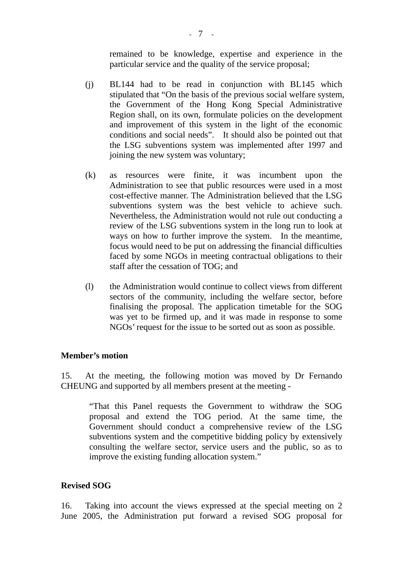remained to be knowledge, expertise and experience in the particular service and the quality of the service proposal;

- (j) BL144 had to be read in conjunction with BL145 which stipulated that "On the basis of the previous social welfare system, the Government of the Hong Kong Special Administrative Region shall, on its own, formulate policies on the development and improvement of this system in the light of the economic conditions and social needs". It should also be pointed out that the LSG subventions system was implemented after 1997 and joining the new system was voluntary;
- (k) as resources were finite, it was incumbent upon the Administration to see that public resources were used in a most cost-effective manner. The Administration believed that the LSG subventions system was the best vehicle to achieve such. Nevertheless, the Administration would not rule out conducting a review of the LSG subventions system in the long run to look at ways on how to further improve the system. In the meantime, focus would need to be put on addressing the financial difficulties faced by some NGOs in meeting contractual obligations to their staff after the cessation of TOG; and
- (l) the Administration would continue to collect views from different sectors of the community, including the welfare sector, before finalising the proposal. The application timetable for the SOG was yet to be firmed up, and it was made in response to some NGOs' request for the issue to be sorted out as soon as possible.

#### **Member's motion**

15. At the meeting, the following motion was moved by Dr Fernando CHEUNG and supported by all members present at the meeting -

"That this Panel requests the Government to withdraw the SOG proposal and extend the TOG period. At the same time, the Government should conduct a comprehensive review of the LSG subventions system and the competitive bidding policy by extensively consulting the welfare sector, service users and the public, so as to improve the existing funding allocation system."

#### **Revised SOG**

16. Taking into account the views expressed at the special meeting on 2 June 2005, the Administration put forward a revised SOG proposal for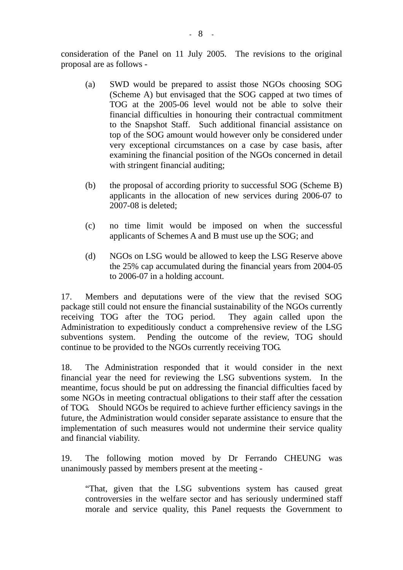consideration of the Panel on 11 July 2005. The revisions to the original proposal are as follows -

- (a) SWD would be prepared to assist those NGOs choosing SOG (Scheme A) but envisaged that the SOG capped at two times of TOG at the 2005-06 level would not be able to solve their financial difficulties in honouring their contractual commitment to the Snapshot Staff. Such additional financial assistance on top of the SOG amount would however only be considered under very exceptional circumstances on a case by case basis, after examining the financial position of the NGOs concerned in detail with stringent financial auditing;
- (b) the proposal of according priority to successful SOG (Scheme B) applicants in the allocation of new services during 2006-07 to 2007-08 is deleted;
- (c) no time limit would be imposed on when the successful applicants of Schemes A and B must use up the SOG; and
- (d) NGOs on LSG would be allowed to keep the LSG Reserve above the 25% cap accumulated during the financial years from 2004-05 to 2006-07 in a holding account.

17. Members and deputations were of the view that the revised SOG package still could not ensure the financial sustainability of the NGOs currently receiving TOG after the TOG period. They again called upon the Administration to expeditiously conduct a comprehensive review of the LSG subventions system. Pending the outcome of the review, TOG should continue to be provided to the NGOs currently receiving TOG.

18. The Administration responded that it would consider in the next financial year the need for reviewing the LSG subventions system. In the meantime, focus should be put on addressing the financial difficulties faced by some NGOs in meeting contractual obligations to their staff after the cessation of TOG. Should NGOs be required to achieve further efficiency savings in the future, the Administration would consider separate assistance to ensure that the implementation of such measures would not undermine their service quality and financial viability.

19. The following motion moved by Dr Ferrando CHEUNG was unanimously passed by members present at the meeting -

"That, given that the LSG subventions system has caused great controversies in the welfare sector and has seriously undermined staff morale and service quality, this Panel requests the Government to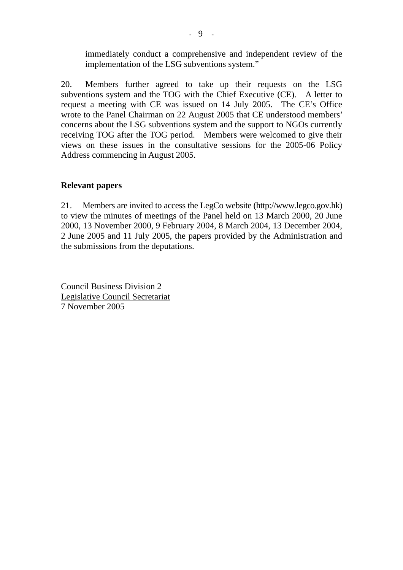immediately conduct a comprehensive and independent review of the implementation of the LSG subventions system."

20. Members further agreed to take up their requests on the LSG subventions system and the TOG with the Chief Executive (CE). A letter to request a meeting with CE was issued on 14 July 2005. The CE's Office wrote to the Panel Chairman on 22 August 2005 that CE understood members' concerns about the LSG subventions system and the support to NGOs currently receiving TOG after the TOG period. Members were welcomed to give their views on these issues in the consultative sessions for the 2005-06 Policy Address commencing in August 2005.

### **Relevant papers**

21. Members are invited to access the LegCo website (http://www.legco.gov.hk) to view the minutes of meetings of the Panel held on 13 March 2000, 20 June 2000, 13 November 2000, 9 February 2004, 8 March 2004, 13 December 2004, 2 June 2005 and 11 July 2005, the papers provided by the Administration and the submissions from the deputations.

Council Business Division 2 Legislative Council Secretariat 7 November 2005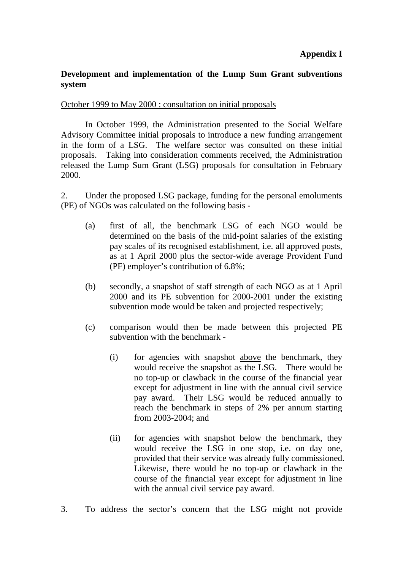## **Development and implementation of the Lump Sum Grant subventions system**

### October 1999 to May 2000 : consultation on initial proposals

 In October 1999, the Administration presented to the Social Welfare Advisory Committee initial proposals to introduce a new funding arrangement in the form of a LSG. The welfare sector was consulted on these initial proposals. Taking into consideration comments received, the Administration released the Lump Sum Grant (LSG) proposals for consultation in February 2000.

2. Under the proposed LSG package, funding for the personal emoluments (PE) of NGOs was calculated on the following basis -

- (a) first of all, the benchmark LSG of each NGO would be determined on the basis of the mid-point salaries of the existing pay scales of its recognised establishment, i.e. all approved posts, as at 1 April 2000 plus the sector-wide average Provident Fund (PF) employer's contribution of 6.8%;
- (b) secondly, a snapshot of staff strength of each NGO as at 1 April 2000 and its PE subvention for 2000-2001 under the existing subvention mode would be taken and projected respectively;
- (c) comparison would then be made between this projected PE subvention with the benchmark -
	- (i) for agencies with snapshot above the benchmark, they would receive the snapshot as the LSG. There would be no top-up or clawback in the course of the financial year except for adjustment in line with the annual civil service pay award. Their LSG would be reduced annually to reach the benchmark in steps of 2% per annum starting from 2003-2004; and
	- (ii) for agencies with snapshot below the benchmark, they would receive the LSG in one stop, i.e. on day one, provided that their service was already fully commissioned. Likewise, there would be no top-up or clawback in the course of the financial year except for adjustment in line with the annual civil service pay award.
- 3. To address the sector's concern that the LSG might not provide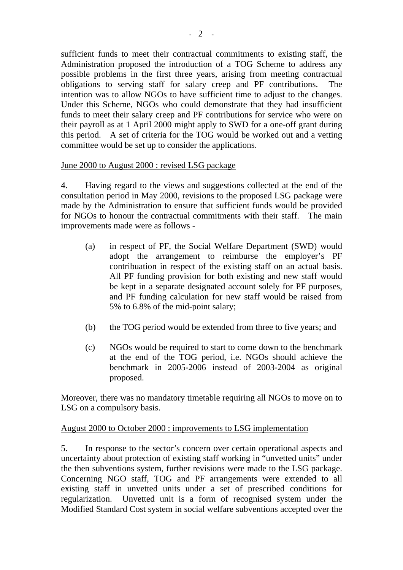sufficient funds to meet their contractual commitments to existing staff, the Administration proposed the introduction of a TOG Scheme to address any possible problems in the first three years, arising from meeting contractual obligations to serving staff for salary creep and PF contributions. The intention was to allow NGOs to have sufficient time to adjust to the changes. Under this Scheme, NGOs who could demonstrate that they had insufficient funds to meet their salary creep and PF contributions for service who were on their payroll as at 1 April 2000 might apply to SWD for a one-off grant during this period. A set of criteria for the TOG would be worked out and a vetting committee would be set up to consider the applications.

# June 2000 to August 2000 : revised LSG package

4. Having regard to the views and suggestions collected at the end of the consultation period in May 2000, revisions to the proposed LSG package were made by the Administration to ensure that sufficient funds would be provided for NGOs to honour the contractual commitments with their staff. The main improvements made were as follows -

- (a) in respect of PF, the Social Welfare Department (SWD) would adopt the arrangement to reimburse the employer's PF contribuation in respect of the existing staff on an actual basis. All PF funding provision for both existing and new staff would be kept in a separate designated account solely for PF purposes, and PF funding calculation for new staff would be raised from 5% to 6.8% of the mid-point salary;
- (b) the TOG period would be extended from three to five years; and
- (c) NGOs would be required to start to come down to the benchmark at the end of the TOG period, i.e. NGOs should achieve the benchmark in 2005-2006 instead of 2003-2004 as original proposed.

Moreover, there was no mandatory timetable requiring all NGOs to move on to LSG on a compulsory basis.

## August 2000 to October 2000 : improvements to LSG implementation

5. In response to the sector's concern over certain operational aspects and uncertainty about protection of existing staff working in "unvetted units" under the then subventions system, further revisions were made to the LSG package. Concerning NGO staff, TOG and PF arrangements were extended to all existing staff in unvetted units under a set of prescribed conditions for regularization. Unvetted unit is a form of recognised system under the Modified Standard Cost system in social welfare subventions accepted over the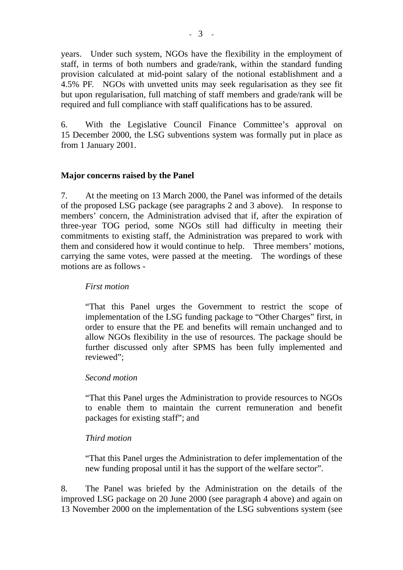years. Under such system, NGOs have the flexibility in the employment of staff, in terms of both numbers and grade/rank, within the standard funding provision calculated at mid-point salary of the notional establishment and a 4.5% PF. NGOs with unvetted units may seek regularisation as they see fit but upon regularisation, full matching of staff members and grade/rank will be required and full compliance with staff qualifications has to be assured.

6. With the Legislative Council Finance Committee's approval on 15 December 2000, the LSG subventions system was formally put in place as from 1 January 2001.

# **Major concerns raised by the Panel**

7. At the meeting on 13 March 2000, the Panel was informed of the details of the proposed LSG package (see paragraphs 2 and 3 above). In response to members' concern, the Administration advised that if, after the expiration of three-year TOG period, some NGOs still had difficulty in meeting their commitments to existing staff, the Administration was prepared to work with them and considered how it would continue to help. Three members' motions, carrying the same votes, were passed at the meeting. The wordings of these motions are as follows -

## *First motion*

 "That this Panel urges the Government to restrict the scope of implementation of the LSG funding package to "Other Charges" first, in order to ensure that the PE and benefits will remain unchanged and to allow NGOs flexibility in the use of resources. The package should be further discussed only after SPMS has been fully implemented and reviewed";

## *Second motion*

 "That this Panel urges the Administration to provide resources to NGOs to enable them to maintain the current remuneration and benefit packages for existing staff"; and

# *Third motion*

 "That this Panel urges the Administration to defer implementation of the new funding proposal until it has the support of the welfare sector".

8. The Panel was briefed by the Administration on the details of the improved LSG package on 20 June 2000 (see paragraph 4 above) and again on 13 November 2000 on the implementation of the LSG subventions system (see